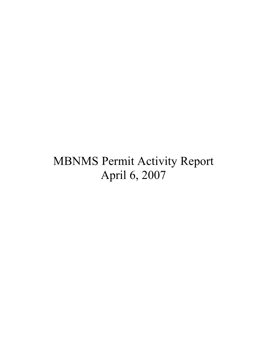# MBNMS Permit Activity Report April 6, 2007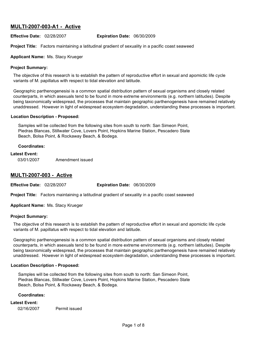# **MULTI-2007-003-A1 - Active**

**Effective Date:** 02/28/2007 **Expiration Date:** 06/30/2009

**Project Title:** Factors maintaining a latitudinal gradient of sexuality in a pacific coast seaweed

#### **Applicant Name:** Ms. Stacy Krueger

#### **Project Summary:**

The objective of this research is to establish the pattern of reproductive effort in sexual and apomictic life cycle variants of M. papillatus with respect to tidal elevation and latitude.

Geographic parthenogenesisi is a common spatial distribution pattern of sexual organisms and closely related counterparts, in which asexuals tend to be found in more extreme environments (e.g. northern latitudes). Despite being taxonomically widespread, the processes that maintain geographic parthenogenesis have remained relatively unaddressed. However in light of widespread ecosystem degradation, understanding these processes is important.

#### **Location Description - Proposed:**

Samples will be collected from the following sites from south to north: San Simeon Point, Piedras Blancas, Stillwater Cove, Lovers Point, Hopkins Marine Station, Pescadero State Beach, Bolsa Point, & Rockaway Beach, & Bodega.

#### **Coordinates:**

#### **Latest Event:**

03/01/2007 Amendment issued

# **MULTI-2007-003 - Active**

**Effective Date:** 02/28/2007 **Expiration Date:** 06/30/2009

**Project Title:** Factors maintaining a latitudinal gradient of sexuality in a pacific coast seaweed

**Applicant Name:** Ms. Stacy Krueger

#### **Project Summary:**

The objective of this research is to establish the pattern of reproductive effort in sexual and apomictic life cycle variants of M. papillatus with respect to tidal elevation and latitude.

Geographic parthenogenesisi is a common spatial distribution pattern of sexual organisms and closely related counterparts, in which asexuals tend to be found in more extreme environments (e.g. northern latitudes). Despite being taxonomically widespread, the processes that maintain geographic parthenogenesis have remained relatively unaddressed. However in light of widespread ecosystem degradation, understanding these processes is important.

#### **Location Description - Proposed:**

Samples will be collected from the following sites from south to north: San Simeon Point, Piedras Blancas, Stillwater Cove, Lovers Point, Hopkins Marine Station, Pescadero State Beach, Bolsa Point, & Rockaway Beach, & Bodega.

#### **Coordinates:**

#### **Latest Event:**

02/16/2007 Permit issued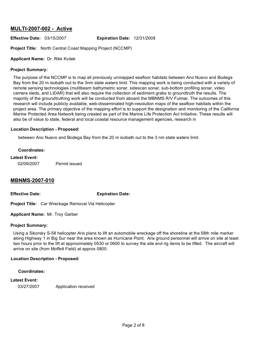# **MULTI-2007-002 - Active**

# **Effective Date:** 03/15/2007 **Expiration Date:** 12/31/2008

**Project Title:** North Central Coast Mapping Project (NCCMP)

## **Applicant Name:** Dr. Rikk Kvitek

#### **Project Summary:**

The purpose of the NCCMP is to map all previously unmapped seafloor habitats between Ano Nuevo and Bodega Bay from the 20 m isobath out to the 3nm state waters limit. This mapping work is being conducted with a variety of remote sensing technologies (multibeam bathymetric sonar, sidescan sonar, sub-bottom profiling sonar, video camera sleds, and LIDAR) that will also require the collection of sediment grabs to groundtruth the results. The majority of the groundtruthing work will be conducted from aboard the MBNMS R/V Fulmar. The outcomes of this research will include publicly available, web-disseminated high-resolution maps of the seafloor habitats within the project area. The primary objective of the mapping effort is to support the designation and monitoring of the California Marine Protected Area Network being created as part of the Marine Life Protection Act Initiative. These results will also be of value to state, federal and local coastal resource management agencies, research in

#### **Location Description - Proposed:**

between Ano Nuevo and Bodega Bay from the 20 m isobath out to the 3 nm state waters limit.

#### **Coordinates:**

## **Latest Event:**

02/09/2007 Permit issued

# **MBNMS-2007-010**

**Effective Date: Expiration Date:**

**Project Title:** Car Wreckage Removal Via Helicopter

**Applicant Name:** Mr. Troy Garber

#### **Project Summary:**

Using a Sikorsky S-58 helicopter Aris plans to lift an automobile wreckage off the shoreline at the 58th mile marker along Highway 1 in Big Sur near the area known as Hurricane Point. Aris ground personnel will arrive on site at least two hours prior to the lift at approximately 0530 or 0600 to survey the site and rig items to be lifted. The aircraft will arrive on site (from Moffett Field) at approx 0800.

#### **Location Description - Proposed:**

#### **Coordinates:**

# **Latest Event:**

03/27/2007 Application received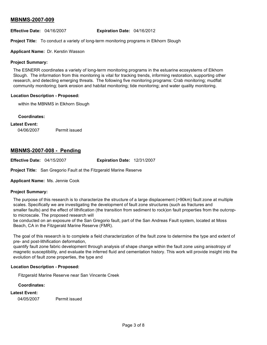# **MBNMS-2007-009**

#### **Effective Date:** 04/16/2007 **Expiration Date:** 04/16/2012

**Project Title:** To conduct a variety of long-term monitoring programs in Elkhorn Slough

**Applicant Name:** Dr. Kerstin Wasson

## **Project Summary:**

The ESNERR coordinates a variety of long-term monitoring programs in the estuarine ecosystems of Elkhorn Slough. The information from this monitoring is vital for tracking trends, informing restoration, supporting other research, and detecting emerging threats. The following five monitoring programs: Crab monitoring; mudflat community monitoring; bank erosion and habitat monitoring; tide monitoring; and water quality monitoring.

## **Location Description - Proposed:**

within the MBNMS in Elkhorn Slough

#### **Coordinates:**

## **Latest Event:**

04/06/2007 Permit issued

# **MBNMS-2007-008 - Pending**

**Effective Date:** 04/15/2007 **Expiration Date:** 12/31/2007

**Project Title:** San Gregorio Fault at the Fitzgerald Marine Reserve

**Applicant Name:** Ms. Jennie Cook

#### **Project Summary:**

The purpose of this research is to characterize the structure of a large displacement (>90km) fault zone at multiple scales. Specifically we are investigating the development of fault zone structures (such as fractures and smaller faults) and the effect of lithification (the transition from sediment to rock)on fault properties from the outcropto microscale. The proposed research will

be conducted on an exposure of the San Gregorio fault, part of the San Andreas Fault system, located at Moss Beach, CA in the Fitzgerald Marine Reserve (FMR).

The goal of this research is to complete a field characterization of the fault zone to determine the type and extent of pre- and post-lithification deformation,

quantify fault zone fabric development through analysis of shape change within the fault zone using anisotropy of magnetic susceptibility, and evaluate the inferred fluid and cementation history. This work will provide insight into the evolution of fault zone properties, the type and

# **Location Description - Proposed:**

Fitzgerald Marine Reserve near San Vincente Creek

#### **Coordinates:**

#### **Latest Event:**

04/05/2007 Permit issued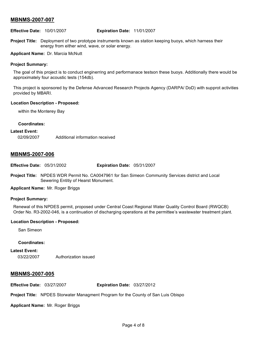# **MBNMS-2007-007**

**Effective Date:** 10/01/2007 **Expiration Date:** 11/01/2007

**Project Title:** Deployment of two prototype instruments known as station keeping buoys, which harness their energy from either wind, wave, or solar energy.

**Applicant Name:** Dr. Marcia McNutt

#### **Project Summary:**

The goal of this project is to conduct enginerring and performanace testson these buoys. Additionally there would be approximately four acoustic tests (154db).

This project is sponsored by the Defense Advanced Research Projects Agency (DARPA/ DoD) with supprot activities provided by MBARI.

#### **Location Description - Proposed:**

within the Monterey Bay

#### **Coordinates:**

#### **Latest Event:**

02/09/2007 Additional information received

# **MBNMS-2007-006**

**Effective Date:** 05/31/2002 **Expiration Date:** 05/31/2007

**Project Title:** NPDES WDR Permit No. CA0047961 for San Simeon Community Services district and Local Sewering Entitiy of Hearst Monument.

#### **Applicant Name:** Mr. Roger Briggs

#### **Project Summary:**

Renewal of this NPDES permit, proposed under Central Coast Regional Water Quality Control Board (RWQCB) Order No. R3-2002-046, is a continuation of discharging operations at the permittee's wastewater treatment plant.

#### **Location Description - Proposed:**

San Simeon

#### **Coordinates:**

**Latest Event:** 03/22/2007 Authorization issued

# **MBNMS-2007-005**

**Effective Date:** 03/27/2007 **Expiration Date:** 03/27/2012

**Project Title:** NPDES Storwater Managment Program for the County of San Luis Obispo

**Applicant Name:** Mr. Roger Briggs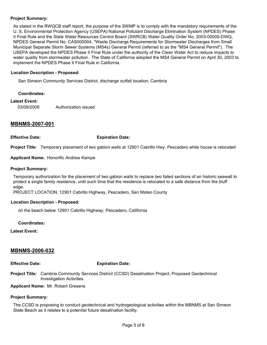## **Project Summary:**

As stated in the RWQCB staff report, the purpose of the SWMP is to comply with the mandatory requirements of the U. S. Environmental Protection Agency (USEPA) National Pollutant Discharge Elimination System (NPDES) Phase II Final Rule and the State Water Resources Control Board (SWRCB) Water Quality Order No. 2003-00005-DWQ, NPDES General Permit No. CAS000004, "Waste Discharge Requirements for Stormwater Discharges from Small Municipal Separate Storm Sewer Systems (MS4s) General Permit (referred to as the "MS4 General Permit"). The USEPA developed the NPDES Phase II Final Rule under the authority of the Clean Water Act to reduce impacts to water quality from stormwater pollution. The State of California adopted the MS4 General Permit on April 30, 2003 to implement the NPDES Phase II Final Rule in California.

#### **Location Description - Proposed:**

San Simeon Community Services District, discharge outfall location; Cambria

#### **Coordinates:**

#### **Latest Event:**

03/09/2006 Authorization issued

# **MBNMS-2007-001**

**Effective Date: Expiration Date:**

**Project Title:** Temporary placement of two gabion walls at 12901 Cabrillo Hwy, Pescadero while house is relocated

**Applicant Name:** Honorific Andrew Kampe

#### **Project Summary:**

Temporary authorization for the placement of two gabion walls to replace two failed sections of an historic seawall to protect a single family residence, until such time that the residence is relocated to a safe distance from the bluff edge.

PROJECT LOCATION: 12901 Cabrillo Highway, Pescadero, San Mateo County

#### **Location Description - Proposed:**

on the beach below 12901 Cabrillo Highway, Pescadero, California

**Coordinates:**

**Latest Event:**

# **MBNMS-2006-032**

#### **Effective Date: Expiration Date:**

**Project Title:** Cambria Community Services District (CCSD) Desalination Project; Proposed Geotechnical Investigation Activities

**Applicant Name:** Mr. Robert Gresens

#### **Project Summary:**

The CCSD is proposing to conduct geotechnical and hydrogeological activities within the MBNMS at San Simeon State Beach as it relates to a potential future desalination facility.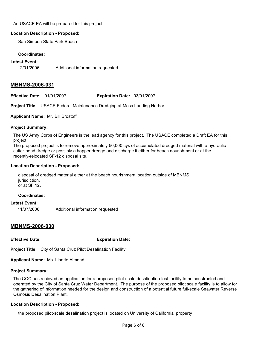#### An USACE EA will be prepared for this project.

#### **Location Description - Proposed:**

San Simeon State Park Beach

#### **Coordinates:**

#### **Latest Event:**

12/01/2006 Additional information requested

# **MBNMS-2006-031**

**Effective Date:** 01/01/2007 **Expiration Date:** 03/01/2007

**Project Title:** USACE Federal Maintenance Dredging at Moss Landing Harbor

# **Applicant Name:** Mr. Bill Brostoff

## **Project Summary:**

The US Army Corps of Engineers is the lead agency for this project. The USACE completed a Draft EA for this project.

The proposed project is to remove approximately 50,000 cys of accumulated dredged material with a hydraulic cutter-head dredge or possibly a hopper dredge and discharge it either for beach nourishment or at the recently-relocated SF-12 disposal site.

## **Location Description - Proposed:**

disposal of dredged material either at the beach nourishment location outside of MBNMS jurisdiction, or at SF 12.

#### **Coordinates:**

#### **Latest Event:**

11/07/2006 Additional information requested

# **MBNMS-2006-030**

**Effective Date: Expiration Date:**

**Project Title:** City of Santa Cruz Pilot Desalination Facility

**Applicant Name:** Ms. Linette Almond

#### **Project Summary:**

The CCC has recieved an application for a proposed pilot-scale desalination test facility to be constructed and operated by the City of Santa Cruz Water Department. The purpose of the proposed pilot scale facility is to allow for the gathering of information needed for the design and construction of a potential future full-scale Seawater Reverse Osmosis Desalination Plant.

# **Location Description - Proposed:**

the proposed pilot-scale desalination project is located on University of California property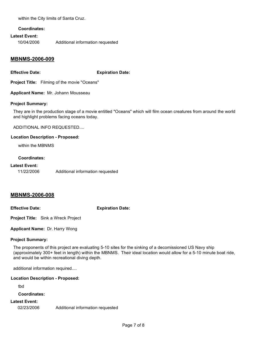within the City limits of Santa Cruz.

#### **Coordinates:**

#### **Latest Event:**

10/04/2006 Additional information requested

# **MBNMS-2006-009**

**Effective Date: Expiration Date:**

**Project Title:** Filming of the movie "Oceans"

**Applicant Name:** Mr. Johann Mousseau

#### **Project Summary:**

They are in the production stage of a movie entitled "Oceans" which will film ocean creatures from around the world and highlight problems facing oceans today.

ADDITIONAL INFO REQUESTED....

## **Location Description - Proposed:**

within the MBNMS

## **Coordinates:**

#### **Latest Event:**

11/22/2006 Additional information requested

# **MBNMS-2006-008**

**Effective Date: Expiration Date:**

**Project Title:** Sink a Wreck Project

**Applicant Name:** Dr. Harry Wong

# **Project Summary:**

The proponents of this project are evaluating 5-10 sites for the sinking of a decomissioned US Navy ship (approximately 300+ feet in length) within the MBNMS. Their ideal location would allow for a 5-10 minute boat ride, and would be within recreational diving depth.

additional information required....

#### **Location Description - Proposed:**

tbd

#### **Coordinates:**

# **Latest Event:**

02/23/2006 Additional information requested